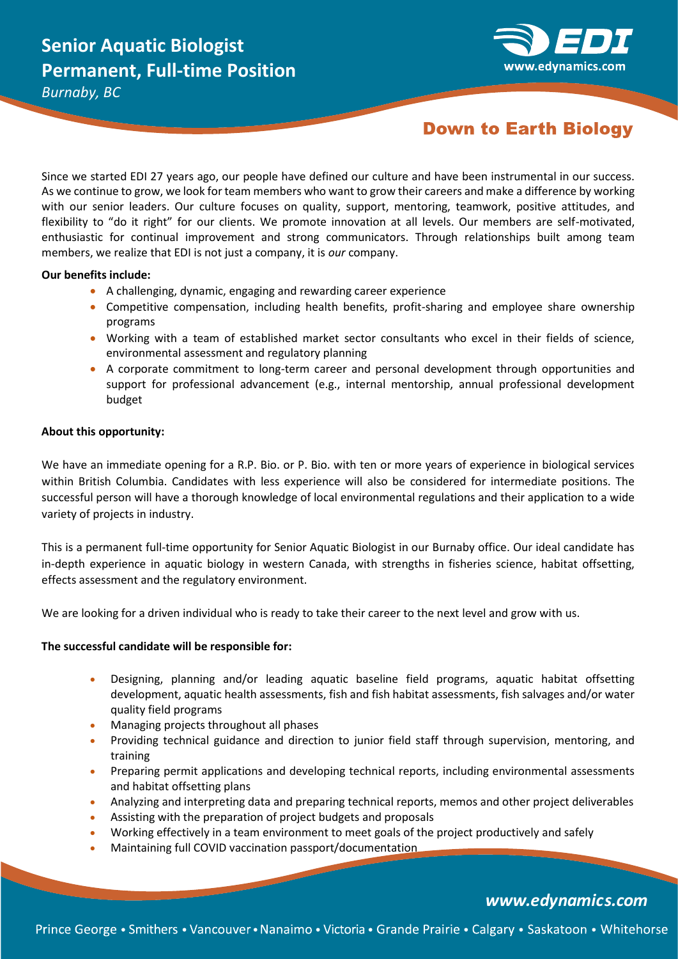

# **Down to Earth Biology**

Since we started EDI 27 years ago, our people have defined our culture and have been instrumental in our success. As we continue to grow, we look for team members who want to grow their careers and make a difference by working with our senior leaders. Our culture focuses on quality, support, mentoring, teamwork, positive attitudes, and flexibility to "do it right" for our clients. We promote innovation at all levels. Our members are self-motivated, enthusiastic for continual improvement and strong communicators. Through relationships built among team members, we realize that EDI is not just a company, it is *our* company.

### **Our benefits include:**

- A challenging, dynamic, engaging and rewarding career experience
- Competitive compensation, including health benefits, profit-sharing and employee share ownership programs
- Working with a team of established market sector consultants who excel in their fields of science, environmental assessment and regulatory planning
- A corporate commitment to long-term career and personal development through opportunities and support for professional advancement (e.g., internal mentorship, annual professional development budget

## **About this opportunity:**

We have an immediate opening for a R.P. Bio. or P. Bio. with ten or more years of experience in biological services within British Columbia. Candidates with less experience will also be considered for intermediate positions. The successful person will have a thorough knowledge of local environmental regulations and their application to a wide variety of projects in industry.

This is a permanent full-time opportunity for Senior Aquatic Biologist in our Burnaby office. Our ideal candidate has in-depth experience in aquatic biology in western Canada, with strengths in fisheries science, habitat offsetting, effects assessment and the regulatory environment.

We are looking for a driven individual who is ready to take their career to the next level and grow with us.

## **The successful candidate will be responsible for:**

- Designing, planning and/or leading aquatic baseline field programs, aquatic habitat offsetting development, aquatic health assessments, fish and fish habitat assessments, fish salvages and/or water quality field programs
- Managing projects throughout all phases
- Providing technical guidance and direction to junior field staff through supervision, mentoring, and training
- Preparing permit applications and developing technical reports, including environmental assessments and habitat offsetting plans
- Analyzing and interpreting data and preparing technical reports, memos and other project deliverables
- Assisting with the preparation of project budgets and proposals
- Working effectively in a team environment to meet goals of the project productively and safely
- Maintaining full COVID vaccination passport/documentation

# www.edynamics.com

Prince George • Smithers • Vancouver • Nanaimo • Victoria • Grande Prairie • Calgary • Saskatoon • Whitehorse